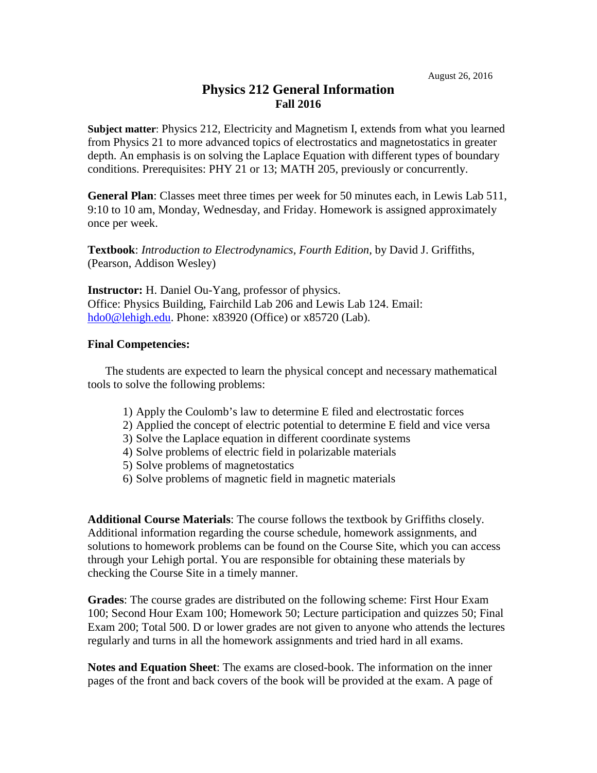## **Physics 212 General Information Fall 2016**

**Subject matter**: Physics 212, Electricity and Magnetism I, extends from what you learned from Physics 21 to more advanced topics of electrostatics and magnetostatics in greater depth. An emphasis is on solving the Laplace Equation with different types of boundary conditions. Prerequisites: PHY 21 or 13; MATH 205, previously or concurrently.

**General Plan**: Classes meet three times per week for 50 minutes each, in Lewis Lab 511, 9:10 to 10 am, Monday, Wednesday, and Friday. Homework is assigned approximately once per week.

**Textbook**: *Introduction to Electrodynamics, Fourth Edition,* by David J. Griffiths, (Pearson, Addison Wesley)

**Instructor:** H. Daniel Ou-Yang, professor of physics. Office: Physics Building, Fairchild Lab 206 and Lewis Lab 124. Email: [hdo0@lehigh.edu.](mailto:hdo0@lehigh.edu) Phone: x83920 (Office) or x85720 (Lab).

## **Final Competencies:**

The students are expected to learn the physical concept and necessary mathematical tools to solve the following problems:

- 1) Apply the Coulomb's law to determine E filed and electrostatic forces
- 2) Applied the concept of electric potential to determine E field and vice versa
- 3) Solve the Laplace equation in different coordinate systems
- 4) Solve problems of electric field in polarizable materials
- 5) Solve problems of magnetostatics
- 6) Solve problems of magnetic field in magnetic materials

**Additional Course Materials**: The course follows the textbook by Griffiths closely. Additional information regarding the course schedule, homework assignments, and solutions to homework problems can be found on the Course Site, which you can access through your Lehigh portal. You are responsible for obtaining these materials by checking the Course Site in a timely manner.

**Grades**: The course grades are distributed on the following scheme: First Hour Exam 100; Second Hour Exam 100; Homework 50; Lecture participation and quizzes 50; Final Exam 200; Total 500. D or lower grades are not given to anyone who attends the lectures regularly and turns in all the homework assignments and tried hard in all exams.

**Notes and Equation Sheet**: The exams are closed-book. The information on the inner pages of the front and back covers of the book will be provided at the exam. A page of